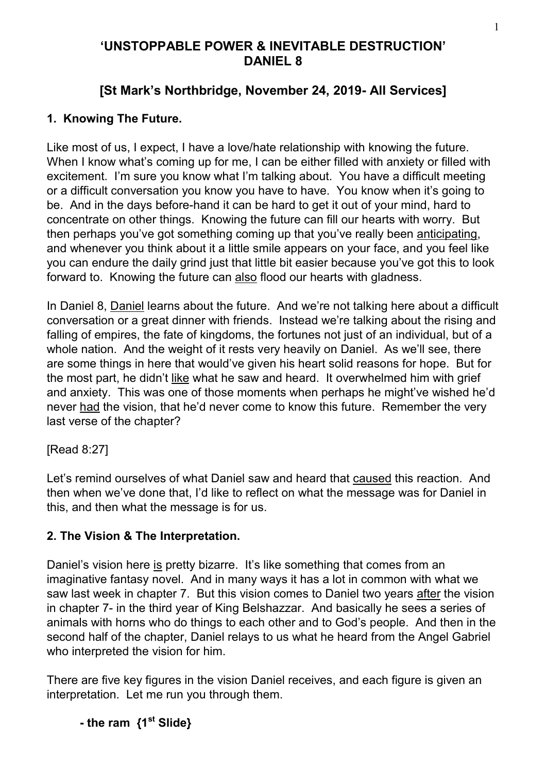## **'UNSTOPPABLE POWER & INEVITABLE DESTRUCTION' DANIEL 8**

# **[St Mark's Northbridge, November 24, 2019- All Services]**

## **1. Knowing The Future.**

Like most of us, I expect, I have a love/hate relationship with knowing the future. When I know what's coming up for me, I can be either filled with anxiety or filled with excitement. I'm sure you know what I'm talking about. You have a difficult meeting or a difficult conversation you know you have to have. You know when it's going to be. And in the days before-hand it can be hard to get it out of your mind, hard to concentrate on other things. Knowing the future can fill our hearts with worry. But then perhaps you've got something coming up that you've really been anticipating, and whenever you think about it a little smile appears on your face, and you feel like you can endure the daily grind just that little bit easier because you've got this to look forward to. Knowing the future can also flood our hearts with gladness.

In Daniel 8, Daniel learns about the future. And we're not talking here about a difficult conversation or a great dinner with friends. Instead we're talking about the rising and falling of empires, the fate of kingdoms, the fortunes not just of an individual, but of a whole nation. And the weight of it rests very heavily on Daniel. As we'll see, there are some things in here that would've given his heart solid reasons for hope. But for the most part, he didn't like what he saw and heard. It overwhelmed him with grief and anxiety. This was one of those moments when perhaps he might've wished he'd never had the vision, that he'd never come to know this future. Remember the very last verse of the chapter?

[Read 8:27]

Let's remind ourselves of what Daniel saw and heard that caused this reaction. And then when we've done that, I'd like to reflect on what the message was for Daniel in this, and then what the message is for us.

## **2. The Vision & The Interpretation.**

Daniel's vision here is pretty bizarre. It's like something that comes from an imaginative fantasy novel. And in many ways it has a lot in common with what we saw last week in chapter 7. But this vision comes to Daniel two years after the vision in chapter 7- in the third year of King Belshazzar. And basically he sees a series of animals with horns who do things to each other and to God's people. And then in the second half of the chapter, Daniel relays to us what he heard from the Angel Gabriel who interpreted the vision for him.

There are five key figures in the vision Daniel receives, and each figure is given an interpretation. Let me run you through them.

 **- the ram {1st Slide}**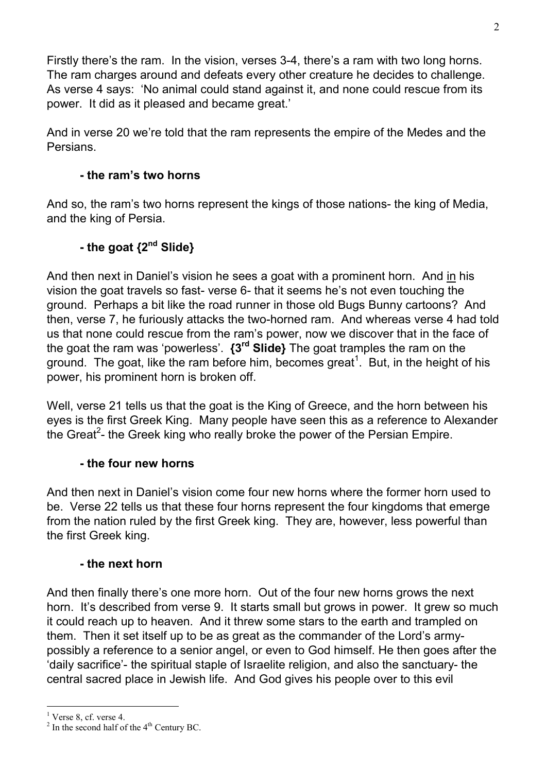Firstly there's the ram. In the vision, verses 3-4, there's a ram with two long horns. The ram charges around and defeats every other creature he decides to challenge. As verse 4 says: 'No animal could stand against it, and none could rescue from its power. It did as it pleased and became great.'

And in verse 20 we're told that the ram represents the empire of the Medes and the Persians.

### **- the ram's two horns**

And so, the ram's two horns represent the kings of those nations- the king of Media, and the king of Persia.

# **- the goat {2nd Slide}**

And then next in Daniel's vision he sees a goat with a prominent horn. And in his vision the goat travels so fast- verse 6- that it seems he's not even touching the ground. Perhaps a bit like the road runner in those old Bugs Bunny cartoons? And then, verse 7, he furiously attacks the two-horned ram. And whereas verse 4 had told us that none could rescue from the ram's power, now we discover that in the face of the goat the ram was 'powerless'. **{3rd Slide}** The goat tramples the ram on the ground. The goat, like the ram before him, becomes great<sup>1</sup>. But, in the height of his power, his prominent horn is broken off.

Well, verse 21 tells us that the goat is the King of Greece, and the horn between his eyes is the first Greek King. Many people have seen this as a reference to Alexander the Great<sup>2</sup>- the Greek king who really broke the power of the Persian Empire.

### **- the four new horns**

And then next in Daniel's vision come four new horns where the former horn used to be. Verse 22 tells us that these four horns represent the four kingdoms that emerge from the nation ruled by the first Greek king. They are, however, less powerful than the first Greek king.

### **- the next horn**

And then finally there's one more horn. Out of the four new horns grows the next horn. It's described from verse 9. It starts small but grows in power. It grew so much it could reach up to heaven. And it threw some stars to the earth and trampled on them. Then it set itself up to be as great as the commander of the Lord's armypossibly a reference to a senior angel, or even to God himself. He then goes after the 'daily sacrifice'- the spiritual staple of Israelite religion, and also the sanctuary- the central sacred place in Jewish life. And God gives his people over to this evil

 $\overline{a}$ 

 $<sup>1</sup>$  Verse 8, cf. verse 4.</sup>

 $2^2$  In the second half of the  $4^{\text{th}}$  Century BC.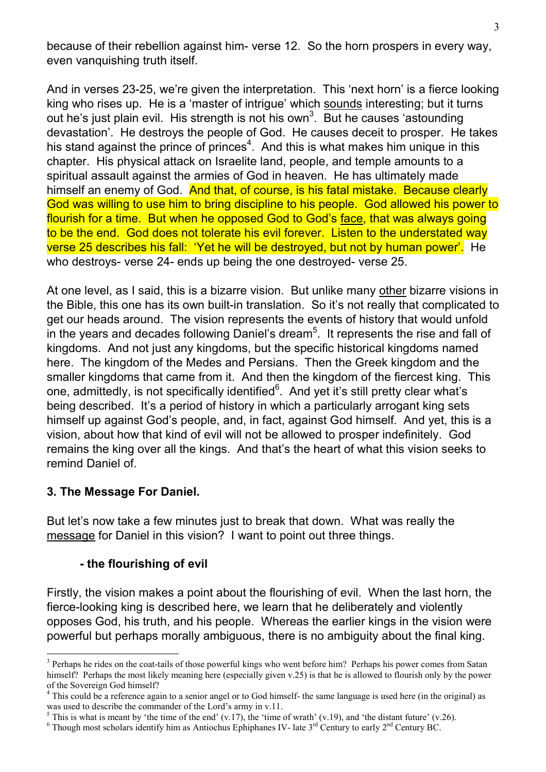because of their rebellion against him- verse 12. So the horn prospers in every way, even vanquishing truth itself.

And in verses 23-25, we're given the interpretation. This 'next horn' is a fierce looking king who rises up. He is a 'master of intrigue' which sounds interesting; but it turns out he's just plain evil. His strength is not his own<sup>3</sup>. But he causes 'astounding devastation'. He destroys the people of God. He causes deceit to prosper. He takes his stand against the prince of princes<sup>4</sup>. And this is what makes him unique in this chapter. His physical attack on Israelite land, people, and temple amounts to a spiritual assault against the armies of God in heaven. He has ultimately made himself an enemy of God. And that, of course, is his fatal mistake. Because clearly God was willing to use him to bring discipline to his people. God allowed his power to flourish for a time. But when he opposed God to God's face, that was always going to be the end. God does not tolerate his evil forever. Listen to the understated way verse 25 describes his fall: 'Yet he will be destroyed, but not by human power'. He who destroys- verse 24- ends up being the one destroyed- verse 25.

At one level, as I said, this is a bizarre vision. But unlike many other bizarre visions in the Bible, this one has its own built-in translation. So it's not really that complicated to get our heads around. The vision represents the events of history that would unfold in the years and decades following Daniel's dream<sup>5</sup>. It represents the rise and fall of kingdoms. And not just any kingdoms, but the specific historical kingdoms named here. The kingdom of the Medes and Persians. Then the Greek kingdom and the smaller kingdoms that came from it. And then the kingdom of the fiercest king. This one, admittedly, is not specifically identified $6$ . And yet it's still pretty clear what's being described. It's a period of history in which a particularly arrogant king sets himself up against God's people, and, in fact, against God himself. And yet, this is a vision, about how that kind of evil will not be allowed to prosper indefinitely. God remains the king over all the kings. And that's the heart of what this vision seeks to remind Daniel of.

### **3. The Message For Daniel.**

 $\overline{a}$ 

But let's now take a few minutes just to break that down. What was really the message for Daniel in this vision? I want to point out three things.

### **- the flourishing of evil**

Firstly, the vision makes a point about the flourishing of evil. When the last horn, the fierce-looking king is described here, we learn that he deliberately and violently opposes God, his truth, and his people. Whereas the earlier kings in the vision were powerful but perhaps morally ambiguous, there is no ambiguity about the final king.

<sup>&</sup>lt;sup>3</sup> Perhaps he rides on the coat-tails of those powerful kings who went before him? Perhaps his power comes from Satan himself? Perhaps the most likely meaning here (especially given v.25) is that he is allowed to flourish only by the power of the Sovereign God himself?

<sup>&</sup>lt;sup>4</sup> This could be a reference again to a senior angel or to God himself- the same language is used here (in the original) as was used to describe the commander of the Lord's army in v.11.

<sup>&</sup>lt;sup>5</sup> This is what is meant by 'the time of the end' (v.17), the 'time of wrath' (v.19), and 'the distant future' (v.26).

<sup>&</sup>lt;sup>6</sup> Though most scholars identify him as Antiochus Ephiphanes IV- late  $3<sup>rd</sup>$  Century to early  $2<sup>nd</sup>$  Century BC.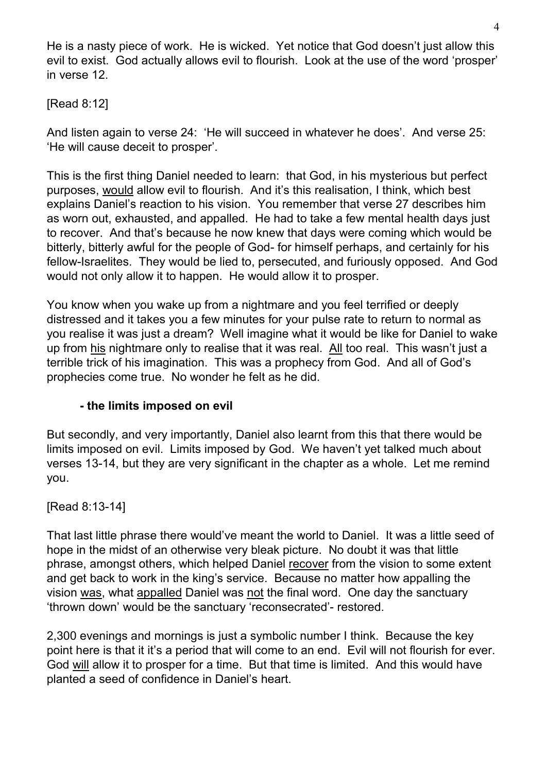He is a nasty piece of work. He is wicked. Yet notice that God doesn't just allow this evil to exist. God actually allows evil to flourish. Look at the use of the word 'prosper' in verse 12.

## [Read 8:12]

And listen again to verse 24: 'He will succeed in whatever he does'. And verse 25: 'He will cause deceit to prosper'.

This is the first thing Daniel needed to learn: that God, in his mysterious but perfect purposes, would allow evil to flourish. And it's this realisation, I think, which best explains Daniel's reaction to his vision. You remember that verse 27 describes him as worn out, exhausted, and appalled. He had to take a few mental health days just to recover. And that's because he now knew that days were coming which would be bitterly, bitterly awful for the people of God- for himself perhaps, and certainly for his fellow-Israelites. They would be lied to, persecuted, and furiously opposed. And God would not only allow it to happen. He would allow it to prosper.

You know when you wake up from a nightmare and you feel terrified or deeply distressed and it takes you a few minutes for your pulse rate to return to normal as you realise it was just a dream? Well imagine what it would be like for Daniel to wake up from his nightmare only to realise that it was real. All too real. This wasn't just a terrible trick of his imagination. This was a prophecy from God. And all of God's prophecies come true. No wonder he felt as he did.

## **- the limits imposed on evil**

But secondly, and very importantly, Daniel also learnt from this that there would be limits imposed on evil. Limits imposed by God. We haven't yet talked much about verses 13-14, but they are very significant in the chapter as a whole. Let me remind you.

[Read 8:13-14]

That last little phrase there would've meant the world to Daniel. It was a little seed of hope in the midst of an otherwise very bleak picture. No doubt it was that little phrase, amongst others, which helped Daniel recover from the vision to some extent and get back to work in the king's service. Because no matter how appalling the vision was, what appalled Daniel was not the final word. One day the sanctuary 'thrown down' would be the sanctuary 'reconsecrated'- restored.

2,300 evenings and mornings is just a symbolic number I think. Because the key point here is that it it's a period that will come to an end. Evil will not flourish for ever. God will allow it to prosper for a time. But that time is limited. And this would have planted a seed of confidence in Daniel's heart.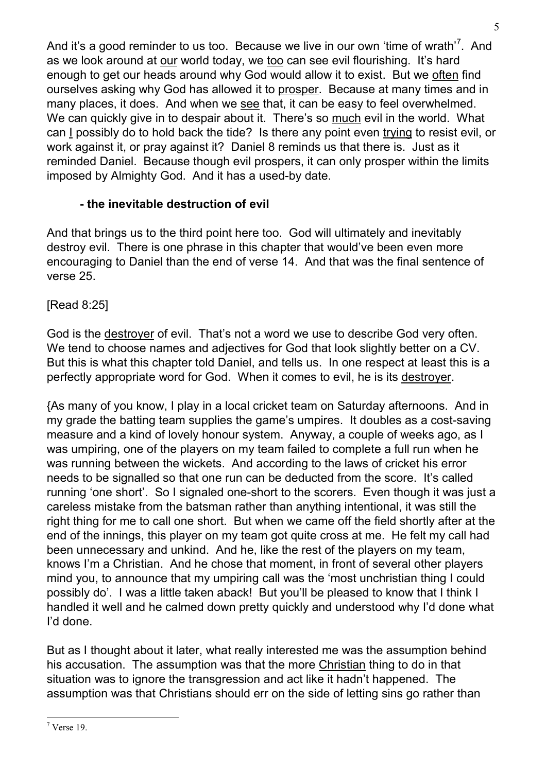And it's a good reminder to us too. Because we live in our own 'time of wrath'<sup>7</sup>. And as we look around at our world today, we too can see evil flourishing. It's hard enough to get our heads around why God would allow it to exist. But we often find ourselves asking why God has allowed it to prosper. Because at many times and in many places, it does. And when we see that, it can be easy to feel overwhelmed. We can quickly give in to despair about it. There's so much evil in the world. What can I possibly do to hold back the tide? Is there any point even trying to resist evil, or work against it, or pray against it? Daniel 8 reminds us that there is. Just as it reminded Daniel. Because though evil prospers, it can only prosper within the limits imposed by Almighty God. And it has a used-by date.

## **- the inevitable destruction of evil**

And that brings us to the third point here too. God will ultimately and inevitably destroy evil. There is one phrase in this chapter that would've been even more encouraging to Daniel than the end of verse 14. And that was the final sentence of verse 25.

[Read 8:25]

God is the destroyer of evil. That's not a word we use to describe God very often. We tend to choose names and adjectives for God that look slightly better on a CV. But this is what this chapter told Daniel, and tells us. In one respect at least this is a perfectly appropriate word for God. When it comes to evil, he is its destroyer.

{As many of you know, I play in a local cricket team on Saturday afternoons. And in my grade the batting team supplies the game's umpires. It doubles as a cost-saving measure and a kind of lovely honour system. Anyway, a couple of weeks ago, as I was umpiring, one of the players on my team failed to complete a full run when he was running between the wickets. And according to the laws of cricket his error needs to be signalled so that one run can be deducted from the score. It's called running 'one short'. So I signaled one-short to the scorers. Even though it was just a careless mistake from the batsman rather than anything intentional, it was still the right thing for me to call one short. But when we came off the field shortly after at the end of the innings, this player on my team got quite cross at me. He felt my call had been unnecessary and unkind. And he, like the rest of the players on my team, knows I'm a Christian. And he chose that moment, in front of several other players mind you, to announce that my umpiring call was the 'most unchristian thing I could possibly do'. I was a little taken aback! But you'll be pleased to know that I think I handled it well and he calmed down pretty quickly and understood why I'd done what I'd done.

But as I thought about it later, what really interested me was the assumption behind his accusation. The assumption was that the more Christian thing to do in that situation was to ignore the transgression and act like it hadn't happened. The assumption was that Christians should err on the side of letting sins go rather than

 7 Verse 19.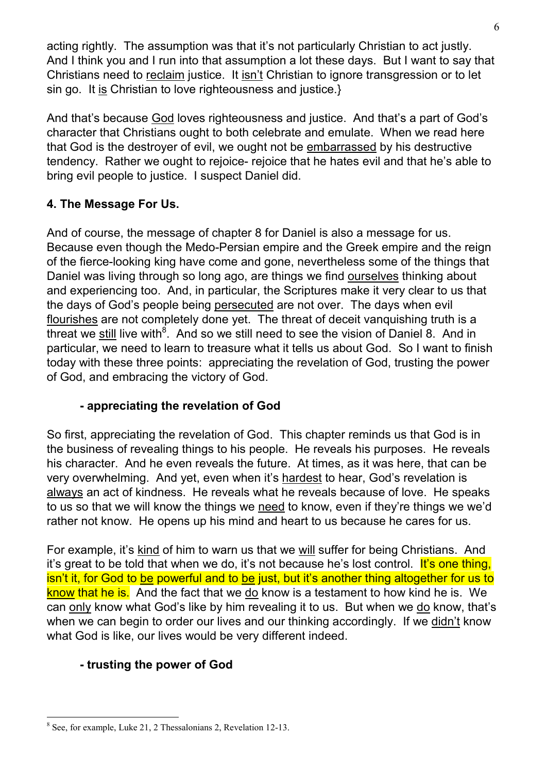acting rightly. The assumption was that it's not particularly Christian to act justly. And I think you and I run into that assumption a lot these days. But I want to say that Christians need to reclaim justice. It isn't Christian to ignore transgression or to let sin go. It is Christian to love righteousness and justice.}

And that's because God loves righteousness and justice. And that's a part of God's character that Christians ought to both celebrate and emulate. When we read here that God is the destroyer of evil, we ought not be embarrassed by his destructive tendency. Rather we ought to rejoice- rejoice that he hates evil and that he's able to bring evil people to justice. I suspect Daniel did.

## **4. The Message For Us.**

And of course, the message of chapter 8 for Daniel is also a message for us. Because even though the Medo-Persian empire and the Greek empire and the reign of the fierce-looking king have come and gone, nevertheless some of the things that Daniel was living through so long ago, are things we find ourselves thinking about and experiencing too. And, in particular, the Scriptures make it very clear to us that the days of God's people being persecuted are not over. The days when evil flourishes are not completely done yet. The threat of deceit vanquishing truth is a threat we still live with<sup>8</sup>. And so we still need to see the vision of Daniel 8. And in particular, we need to learn to treasure what it tells us about God. So I want to finish today with these three points: appreciating the revelation of God, trusting the power of God, and embracing the victory of God.

## **- appreciating the revelation of God**

So first, appreciating the revelation of God. This chapter reminds us that God is in the business of revealing things to his people. He reveals his purposes. He reveals his character. And he even reveals the future. At times, as it was here, that can be very overwhelming. And yet, even when it's hardest to hear, God's revelation is always an act of kindness. He reveals what he reveals because of love. He speaks to us so that we will know the things we need to know, even if they're things we we'd rather not know. He opens up his mind and heart to us because he cares for us.

For example, it's kind of him to warn us that we will suffer for being Christians. And it's great to be told that when we do, it's not because he's lost control. It's one thing, isn't it, for God to be powerful and to be just, but it's another thing altogether for us to know that he is. And the fact that we do know is a testament to how kind he is. We can only know what God's like by him revealing it to us. But when we do know, that's when we can begin to order our lives and our thinking accordingly. If we didn't know what God is like, our lives would be very different indeed.

## **- trusting the power of God**

 <sup>8</sup> See, for example, Luke 21, 2 Thessalonians 2, Revelation 12-13.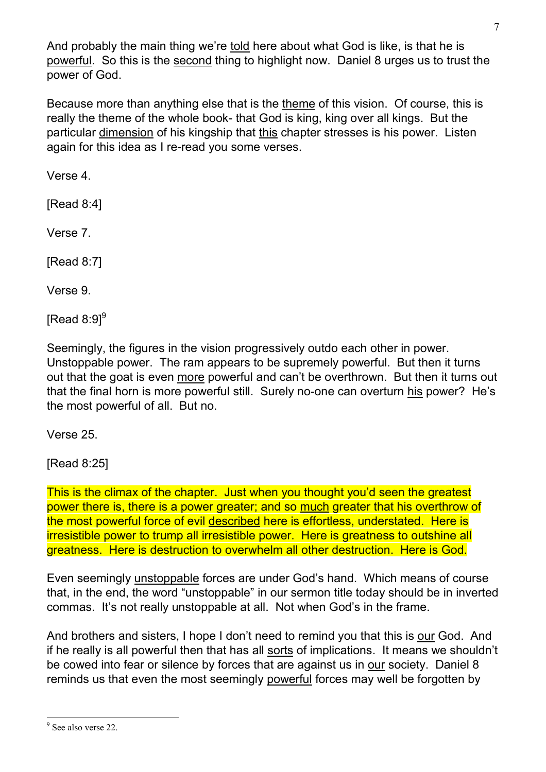And probably the main thing we're told here about what God is like, is that he is powerful. So this is the second thing to highlight now. Daniel 8 urges us to trust the power of God.

Because more than anything else that is the theme of this vision. Of course, this is really the theme of the whole book- that God is king, king over all kings. But the particular dimension of his kingship that this chapter stresses is his power. Listen again for this idea as I re-read you some verses.

Verse 4.

[Read 8:4]

Verse 7.

[Read 8:7]

Verse 9.

[Read  $8:9$ ]<sup>9</sup>

Seemingly, the figures in the vision progressively outdo each other in power. Unstoppable power. The ram appears to be supremely powerful. But then it turns out that the goat is even more powerful and can't be overthrown. But then it turns out that the final horn is more powerful still. Surely no-one can overturn his power? He's the most powerful of all. But no.

Verse 25.

[Read 8:25]

This is the climax of the chapter. Just when you thought you'd seen the greatest power there is, there is a power greater; and so much greater that his overthrow of the most powerful force of evil described here is effortless, understated. Here is irresistible power to trump all irresistible power. Here is greatness to outshine all greatness. Here is destruction to overwhelm all other destruction. Here is God.

Even seemingly unstoppable forces are under God's hand. Which means of course that, in the end, the word "unstoppable" in our sermon title today should be in inverted commas. It's not really unstoppable at all. Not when God's in the frame.

And brothers and sisters, I hope I don't need to remind you that this is our God. And if he really is all powerful then that has all sorts of implications. It means we shouldn't be cowed into fear or silence by forces that are against us in our society. Daniel 8 reminds us that even the most seemingly powerful forces may well be forgotten by

<sup>&</sup>lt;sup>9</sup> See also verse 22.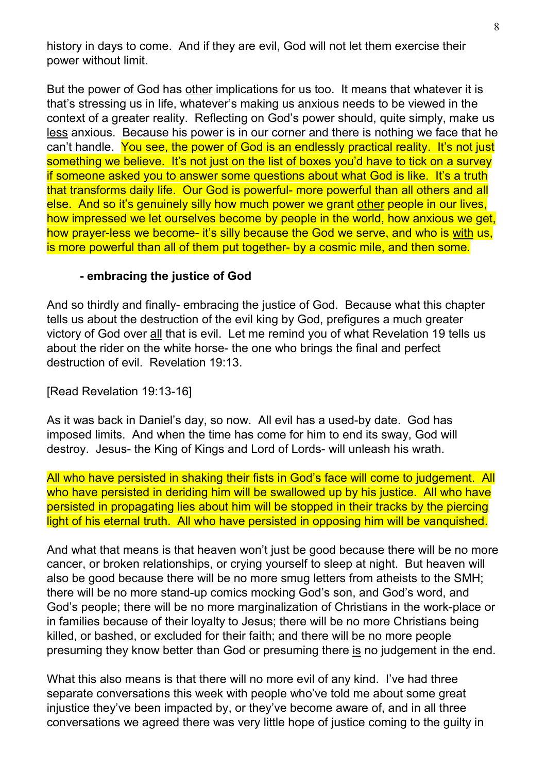history in days to come. And if they are evil, God will not let them exercise their power without limit.

But the power of God has other implications for us too. It means that whatever it is that's stressing us in life, whatever's making us anxious needs to be viewed in the context of a greater reality. Reflecting on God's power should, quite simply, make us less anxious. Because his power is in our corner and there is nothing we face that he can't handle. You see, the power of God is an endlessly practical reality. It's not just something we believe. It's not just on the list of boxes you'd have to tick on a survey if someone asked you to answer some questions about what God is like. It's a truth that transforms daily life. Our God is powerful- more powerful than all others and all else. And so it's genuinely silly how much power we grant other people in our lives, how impressed we let ourselves become by people in the world, how anxious we get, how prayer-less we become- it's silly because the God we serve, and who is with us, is more powerful than all of them put together- by a cosmic mile, and then some.

#### **- embracing the justice of God**

And so thirdly and finally- embracing the justice of God. Because what this chapter tells us about the destruction of the evil king by God, prefigures a much greater victory of God over all that is evil. Let me remind you of what Revelation 19 tells us about the rider on the white horse- the one who brings the final and perfect destruction of evil. Revelation 19:13.

[Read Revelation 19:13-16]

As it was back in Daniel's day, so now. All evil has a used-by date. God has imposed limits. And when the time has come for him to end its sway, God will destroy. Jesus- the King of Kings and Lord of Lords- will unleash his wrath.

All who have persisted in shaking their fists in God's face will come to judgement. All who have persisted in deriding him will be swallowed up by his justice. All who have persisted in propagating lies about him will be stopped in their tracks by the piercing light of his eternal truth. All who have persisted in opposing him will be vanquished.

And what that means is that heaven won't just be good because there will be no more cancer, or broken relationships, or crying yourself to sleep at night. But heaven will also be good because there will be no more smug letters from atheists to the SMH; there will be no more stand-up comics mocking God's son, and God's word, and God's people; there will be no more marginalization of Christians in the work-place or in families because of their loyalty to Jesus; there will be no more Christians being killed, or bashed, or excluded for their faith; and there will be no more people presuming they know better than God or presuming there is no judgement in the end.

What this also means is that there will no more evil of any kind. I've had three separate conversations this week with people who've told me about some great injustice they've been impacted by, or they've become aware of, and in all three conversations we agreed there was very little hope of justice coming to the guilty in